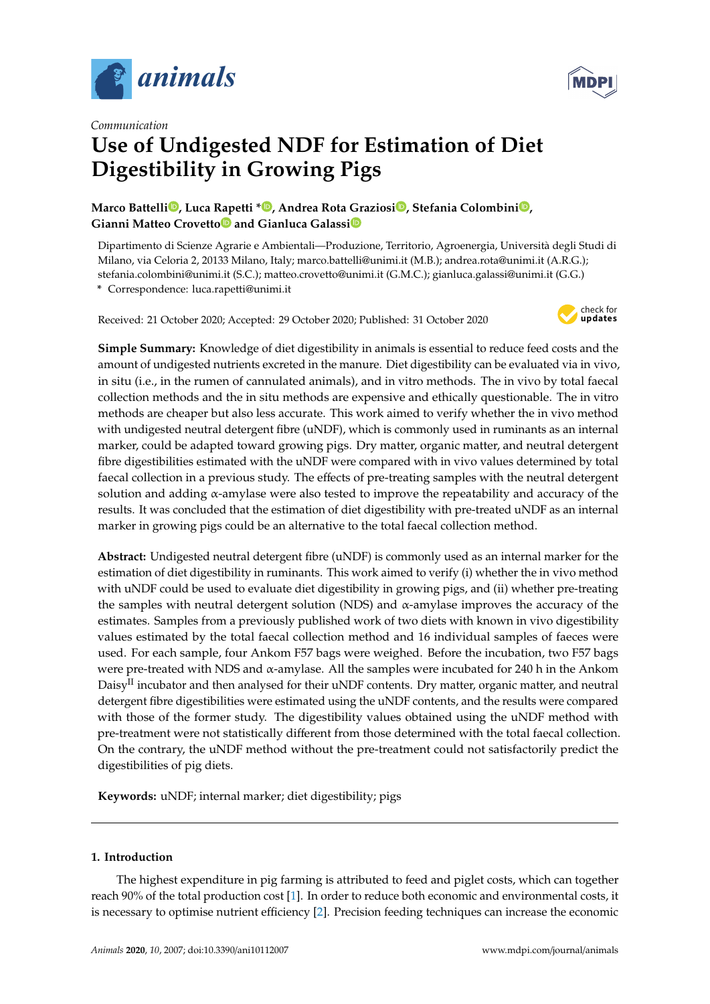

*Communication*

# **Use of Undigested NDF for Estimation of Diet Digestibility in Growing Pigs**

**Marco Battell[i](https://orcid.org/0000-0003-2689-4199) , Luca Rapetti [\\*](https://orcid.org/0000-0002-0084-1796) , Andrea Rota Graziosi [,](https://orcid.org/0000-0001-8151-2574) Stefania Colombin[i](https://orcid.org/0000-0002-4391-3905) , Gianni Matteo Crovett[o](https://orcid.org/0000-0003-1156-2087) and Gianluca Galass[i](https://orcid.org/0000-0003-4495-989X)**

Dipartimento di Scienze Agrarie e Ambientali—Produzione, Territorio, Agroenergia, Università degli Studi di Milano, via Celoria 2, 20133 Milano, Italy; marco.battelli@unimi.it (M.B.); andrea.rota@unimi.it (A.R.G.); stefania.colombini@unimi.it (S.C.); matteo.crovetto@unimi.it (G.M.C.); gianluca.galassi@unimi.it (G.G.)

**\*** Correspondence: luca.rapetti@unimi.it

Received: 21 October 2020; Accepted: 29 October 2020; Published: 31 October 2020



**Simple Summary:** Knowledge of diet digestibility in animals is essential to reduce feed costs and the amount of undigested nutrients excreted in the manure. Diet digestibility can be evaluated via in vivo, in situ (i.e., in the rumen of cannulated animals), and in vitro methods. The in vivo by total faecal collection methods and the in situ methods are expensive and ethically questionable. The in vitro methods are cheaper but also less accurate. This work aimed to verify whether the in vivo method with undigested neutral detergent fibre (uNDF), which is commonly used in ruminants as an internal marker, could be adapted toward growing pigs. Dry matter, organic matter, and neutral detergent fibre digestibilities estimated with the uNDF were compared with in vivo values determined by total faecal collection in a previous study. The effects of pre-treating samples with the neutral detergent solution and adding  $\alpha$ -amylase were also tested to improve the repeatability and accuracy of the results. It was concluded that the estimation of diet digestibility with pre-treated uNDF as an internal marker in growing pigs could be an alternative to the total faecal collection method.

**Abstract:** Undigested neutral detergent fibre (uNDF) is commonly used as an internal marker for the estimation of diet digestibility in ruminants. This work aimed to verify (i) whether the in vivo method with uNDF could be used to evaluate diet digestibility in growing pigs, and (ii) whether pre-treating the samples with neutral detergent solution (NDS) and α-amylase improves the accuracy of the estimates. Samples from a previously published work of two diets with known in vivo digestibility values estimated by the total faecal collection method and 16 individual samples of faeces were used. For each sample, four Ankom F57 bags were weighed. Before the incubation, two F57 bags were pre-treated with NDS and α-amylase. All the samples were incubated for 240 h in the Ankom Daisy<sup>II</sup> incubator and then analysed for their uNDF contents. Dry matter, organic matter, and neutral detergent fibre digestibilities were estimated using the uNDF contents, and the results were compared with those of the former study. The digestibility values obtained using the uNDF method with pre-treatment were not statistically different from those determined with the total faecal collection. On the contrary, the uNDF method without the pre-treatment could not satisfactorily predict the digestibilities of pig diets.

**Keywords:** uNDF; internal marker; diet digestibility; pigs

## **1. Introduction**

The highest expenditure in pig farming is attributed to feed and piglet costs, which can together reach 90% of the total production cost [\[1\]](#page-5-0). In order to reduce both economic and environmental costs, it is necessary to optimise nutrient efficiency [\[2\]](#page-5-1). Precision feeding techniques can increase the economic

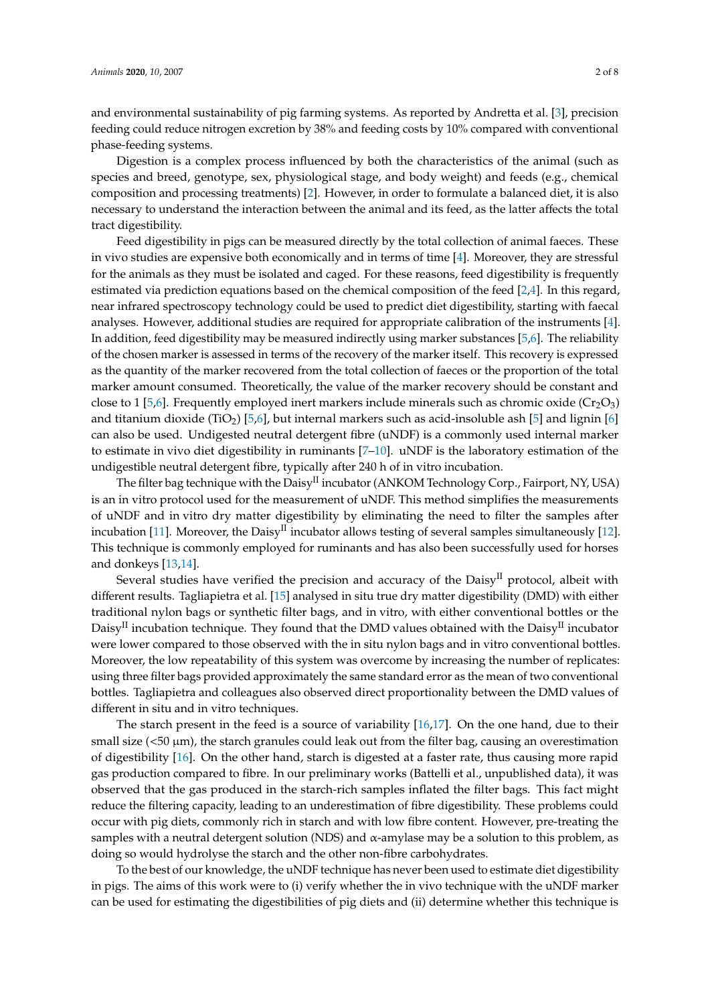and environmental sustainability of pig farming systems. As reported by Andretta et al. [\[3\]](#page-5-2), precision feeding could reduce nitrogen excretion by 38% and feeding costs by 10% compared with conventional phase-feeding systems.

Digestion is a complex process influenced by both the characteristics of the animal (such as species and breed, genotype, sex, physiological stage, and body weight) and feeds (e.g., chemical composition and processing treatments) [\[2\]](#page-5-1). However, in order to formulate a balanced diet, it is also necessary to understand the interaction between the animal and its feed, as the latter affects the total tract digestibility.

Feed digestibility in pigs can be measured directly by the total collection of animal faeces. These in vivo studies are expensive both economically and in terms of time [\[4\]](#page-6-0). Moreover, they are stressful for the animals as they must be isolated and caged. For these reasons, feed digestibility is frequently estimated via prediction equations based on the chemical composition of the feed [\[2,](#page-5-1)[4\]](#page-6-0). In this regard, near infrared spectroscopy technology could be used to predict diet digestibility, starting with faecal analyses. However, additional studies are required for appropriate calibration of the instruments [\[4\]](#page-6-0). In addition, feed digestibility may be measured indirectly using marker substances [\[5,](#page-6-1)[6\]](#page-6-2). The reliability of the chosen marker is assessed in terms of the recovery of the marker itself. This recovery is expressed as the quantity of the marker recovered from the total collection of faeces or the proportion of the total marker amount consumed. Theoretically, the value of the marker recovery should be constant and close to 1 [\[5](#page-6-1)[,6\]](#page-6-2). Frequently employed inert markers include minerals such as chromic oxide ( $Cr_2O_3$ ) and titanium dioxide (TiO<sub>2</sub>) [\[5,](#page-6-1)[6\]](#page-6-2), but internal markers such as acid-insoluble ash [\[5\]](#page-6-1) and lignin [\[6\]](#page-6-2) can also be used. Undigested neutral detergent fibre (uNDF) is a commonly used internal marker to estimate in vivo diet digestibility in ruminants [\[7](#page-6-3)[–10\]](#page-6-4). uNDF is the laboratory estimation of the undigestible neutral detergent fibre, typically after 240 h of in vitro incubation.

The filter bag technique with the Daisy<sup>II</sup> incubator (ANKOM Technology Corp., Fairport, NY, USA) is an in vitro protocol used for the measurement of uNDF. This method simplifies the measurements of uNDF and in vitro dry matter digestibility by eliminating the need to filter the samples after incubation [\[11\]](#page-6-5). Moreover, the Daisy<sup>II</sup> incubator allows testing of several samples simultaneously [\[12\]](#page-6-6). This technique is commonly employed for ruminants and has also been successfully used for horses and donkeys [\[13,](#page-6-7)[14\]](#page-6-8).

Several studies have verified the precision and accuracy of the Daisy<sup>II</sup> protocol, albeit with different results. Tagliapietra et al. [\[15\]](#page-6-9) analysed in situ true dry matter digestibility (DMD) with either traditional nylon bags or synthetic filter bags, and in vitro, with either conventional bottles or the Daisy<sup>II</sup> incubation technique. They found that the DMD values obtained with the Daisy<sup>II</sup> incubator were lower compared to those observed with the in situ nylon bags and in vitro conventional bottles. Moreover, the low repeatability of this system was overcome by increasing the number of replicates: using three filter bags provided approximately the same standard error as the mean of two conventional bottles. Tagliapietra and colleagues also observed direct proportionality between the DMD values of different in situ and in vitro techniques.

The starch present in the feed is a source of variability [\[16](#page-6-10)[,17\]](#page-6-11). On the one hand, due to their small size ( $\leq 50 \text{ }\mu\text{m}$ ), the starch granules could leak out from the filter bag, causing an overestimation of digestibility [\[16\]](#page-6-10). On the other hand, starch is digested at a faster rate, thus causing more rapid gas production compared to fibre. In our preliminary works (Battelli et al., unpublished data), it was observed that the gas produced in the starch-rich samples inflated the filter bags. This fact might reduce the filtering capacity, leading to an underestimation of fibre digestibility. These problems could occur with pig diets, commonly rich in starch and with low fibre content. However, pre-treating the samples with a neutral detergent solution (NDS) and  $\alpha$ -amylase may be a solution to this problem, as doing so would hydrolyse the starch and the other non-fibre carbohydrates.

To the best of our knowledge, the uNDF technique has never been used to estimate diet digestibility in pigs. The aims of this work were to (i) verify whether the in vivo technique with the uNDF marker can be used for estimating the digestibilities of pig diets and (ii) determine whether this technique is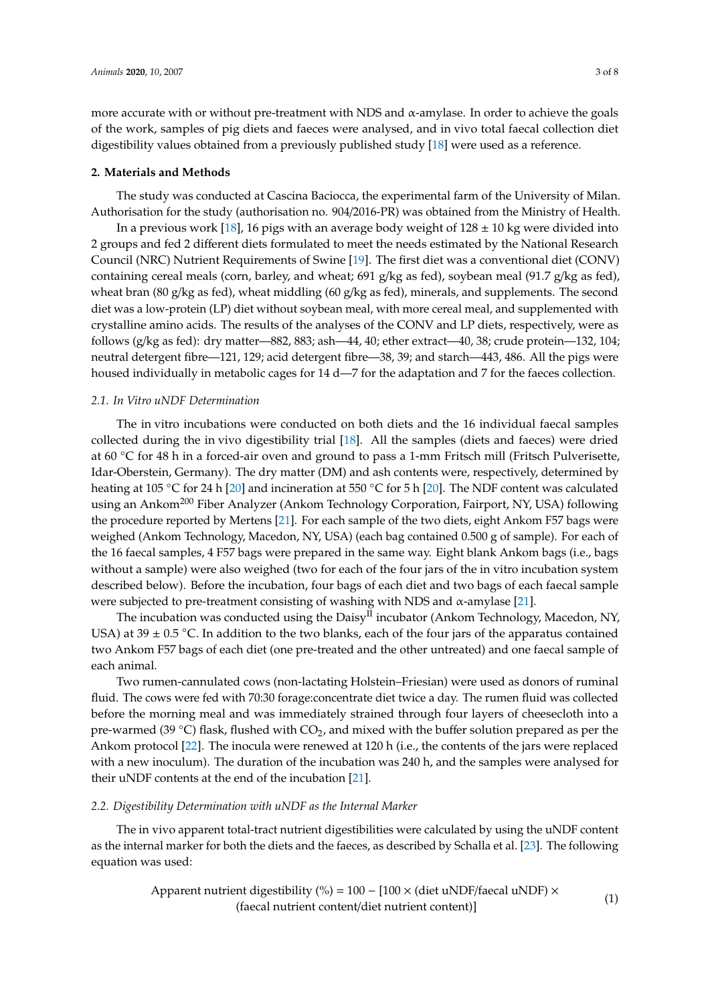more accurate with or without pre-treatment with NDS and  $\alpha$ -amylase. In order to achieve the goals of the work, samples of pig diets and faeces were analysed, and in vivo total faecal collection diet

## **2. Materials and Methods**

The study was conducted at Cascina Baciocca, the experimental farm of the University of Milan. Authorisation for the study (authorisation no. 904/2016-PR) was obtained from the Ministry of Health.

digestibility values obtained from a previously published study [\[18\]](#page-6-12) were used as a reference.

In a previous work [\[18\]](#page-6-12), 16 pigs with an average body weight of  $128 \pm 10$  kg were divided into 2 groups and fed 2 different diets formulated to meet the needs estimated by the National Research Council (NRC) Nutrient Requirements of Swine [\[19\]](#page-6-13). The first diet was a conventional diet (CONV) containing cereal meals (corn, barley, and wheat; 691 g/kg as fed), soybean meal (91.7 g/kg as fed), wheat bran (80 g/kg as fed), wheat middling (60 g/kg as fed), minerals, and supplements. The second diet was a low-protein (LP) diet without soybean meal, with more cereal meal, and supplemented with crystalline amino acids. The results of the analyses of the CONV and LP diets, respectively, were as follows (g/kg as fed): dry matter—882, 883; ash—44, 40; ether extract—40, 38; crude protein—132, 104; neutral detergent fibre—121, 129; acid detergent fibre—38, 39; and starch—443, 486. All the pigs were housed individually in metabolic cages for 14 d—7 for the adaptation and 7 for the faeces collection.

## *2.1. In Vitro uNDF Determination*

The in vitro incubations were conducted on both diets and the 16 individual faecal samples collected during the in vivo digestibility trial [\[18\]](#page-6-12). All the samples (diets and faeces) were dried at 60 ◦C for 48 h in a forced-air oven and ground to pass a 1-mm Fritsch mill (Fritsch Pulverisette, Idar-Oberstein, Germany). The dry matter (DM) and ash contents were, respectively, determined by heating at 105 °C for 24 h [\[20\]](#page-6-14) and incineration at 550 °C for 5 h [20]. The NDF content was calculated using an Ankom<sup>200</sup> Fiber Analyzer (Ankom Technology Corporation, Fairport, NY, USA) following the procedure reported by Mertens [\[21\]](#page-6-15). For each sample of the two diets, eight Ankom F57 bags were weighed (Ankom Technology, Macedon, NY, USA) (each bag contained 0.500 g of sample). For each of the 16 faecal samples, 4 F57 bags were prepared in the same way. Eight blank Ankom bags (i.e., bags without a sample) were also weighed (two for each of the four jars of the in vitro incubation system described below). Before the incubation, four bags of each diet and two bags of each faecal sample were subjected to pre-treatment consisting of washing with NDS and  $\alpha$ -amylase [\[21\]](#page-6-15).

The incubation was conducted using the Daisy<sup>II</sup> incubator (Ankom Technology, Macedon, NY, USA) at 39  $\pm$  0.5 °C. In addition to the two blanks, each of the four jars of the apparatus contained two Ankom F57 bags of each diet (one pre-treated and the other untreated) and one faecal sample of each animal.

Two rumen-cannulated cows (non-lactating Holstein–Friesian) were used as donors of ruminal fluid. The cows were fed with 70:30 forage:concentrate diet twice a day. The rumen fluid was collected before the morning meal and was immediately strained through four layers of cheesecloth into a pre-warmed (39 °C) flask, flushed with  $CO<sub>2</sub>$ , and mixed with the buffer solution prepared as per the Ankom protocol [\[22\]](#page-6-16). The inocula were renewed at 120 h (i.e., the contents of the jars were replaced with a new inoculum). The duration of the incubation was 240 h, and the samples were analysed for their uNDF contents at the end of the incubation [\[21\]](#page-6-15).

## *2.2. Digestibility Determination with uNDF as the Internal Marker*

The in vivo apparent total-tract nutrient digestibilities were calculated by using the uNDF content as the internal marker for both the diets and the faeces, as described by Schalla et al. [\[23\]](#page-6-17). The following equation was used:

> Apparent nutrient digestibility (%) =  $100 - [100 \times$  (diet uNDF/faecal uNDF)  $\times$ (faecal nutrient content/diet nutrient content)]  $(1)$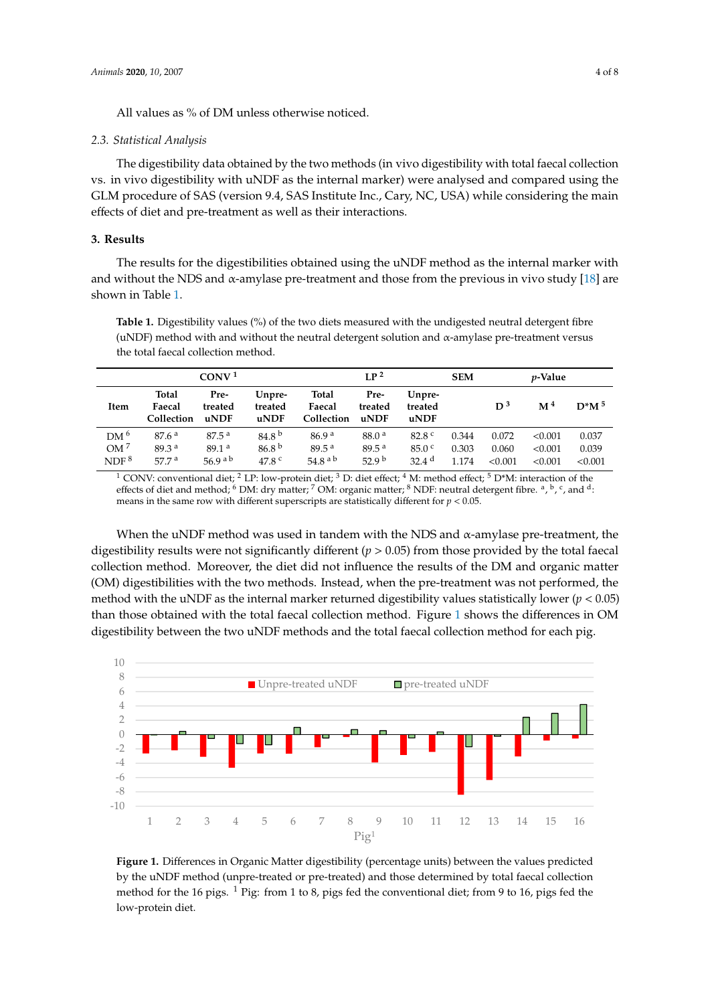All values as % of DM unless otherwise noticed.

#### *2.3. Statistical Analysis*  $T_{\text{t}}$  , the two methods (in virtual factor  $\alpha$

The digestibility data obtained by the two methods (in vivo digestibility with total faecal collection vs. in vivo digestibility with uNDF as the internal marker) were analysed and compared using the GLM procedure of SAS (version 9.4, SAS Institute Inc., Cary, NC, USA) while considering the main effects of diet and pre-treatment as well as their interactions.

## **3. Results**

The results for the digestibilities obtained using the uNDF method as the internal marker with and without the NDS and  $\alpha$ -amylase pre-treatment and those from the previous in vivo study [\[18\]](#page-6-12) are shown in Table [1.](#page-3-0)  $m$  method was used in tandem with the NDS and  $\alpha$ -amylase pre-treatment, the NDS and  $\alpha$ 

<span id="page-3-0"></span>Table 1. Digestibility values (%) of the two diets measured with the undigested neutral detergent fibre (uNDF) method with and without the neutral detergent solution and  $\alpha$ -amylase pre-treatment versus the total faecal collection method.

|                                                        |                                                             | CONV <sup>1</sup>                                    |                                                           |                                                            | LP <sup>2</sup>                                             |                                                             | <b>SEM</b>              |                           | <i>p</i> -Value               |                           |
|--------------------------------------------------------|-------------------------------------------------------------|------------------------------------------------------|-----------------------------------------------------------|------------------------------------------------------------|-------------------------------------------------------------|-------------------------------------------------------------|-------------------------|---------------------------|-------------------------------|---------------------------|
| Item                                                   | Total<br>Faecal<br>Collection                               | Pre-<br>treated<br>uNDF                              | Unpre-<br>treated<br>uNDF                                 | Total<br>Faecal<br>Collection                              | Pre-<br>treated<br>uNDF                                     | Unpre-<br>treated<br>uNDF                                   |                         | D <sup>3</sup>            | $\mathbf{M}^4$                | $D^*M^5$                  |
| DM <sup>6</sup><br>OM <sup>7</sup><br>NDF <sup>8</sup> | 87.6 <sup>a</sup><br>89.3 <sup>a</sup><br>57.7 <sup>a</sup> | 87.5 <sup>a</sup><br>89.1 <sup>a</sup><br>56.9 $a b$ | 84.8 <sup>b</sup><br>86.8 <sup>b</sup><br>47.8 $^{\circ}$ | 86.9 <sup>a</sup><br>89.5 <sup>a</sup><br>54.8 $^{\rm ab}$ | 88.0 <sup>a</sup><br>89.5 <sup>a</sup><br>52.9 <sup>b</sup> | 82.8 <sup>c</sup><br>85.0 <sup>c</sup><br>32.4 <sup>d</sup> | 0.344<br>0.303<br>1.174 | 0.072<br>0.060<br>< 0.001 | < 0.001<br>< 0.001<br>< 0.001 | 0.037<br>0.039<br>< 0.001 |

<sup>1</sup> CONV: conventional diet; <sup>2</sup> LP: low-protein diet; <sup>3</sup> D: diet effect; <sup>4</sup> M: method effect; <sup>5</sup> D\*M: interaction of the officets of diet and method <sup>6</sup> DM: dry matter: <sup>7</sup> OM: organic matter: <sup>8</sup> NDF: poutral deterge effects of diet and method; <sup>6</sup> DM: dry matter; <sup>7</sup> OM: organic matter; <sup>8</sup> NDF: neutral detergent fibre. <sup>a</sup>, <sup>b</sup>, <sup>c</sup>, and <sup>d</sup>: means in the same row with different superscripts are statistically different for  $p < 0.05$ .

**When the uNDF method was used in tandem with the NDS and α-amylase pre-treatment, the** digestibility results were not significantly different ( $p > 0.05$ ) from those provided by the total faecal  $\alpha$  collection method. Moreover, the diet did not influence the results of the DM and organic matter collection method. Moreover, the diet did not influence the results of the DM and organic matter (OM) digestibilities with the two methods. Instead, when the pre-treatment was not performed, the method with the uNDF as the internal marker returned digestibility values statistically lower ( $p < 0.05$ ) than those obtained with the total faecal collection method. Figure 1 shows the differences in OM digestibility between the two uNDF methods and the total faecal collection method for each pig. collection method. Moreover, the diet did not influence the results of the DM and organic matter

<span id="page-3-1"></span>

**Figure 1.** Differences in Organic Matter digestibility (percentage units) between the values predicted **Figure 1.** Differences in Organic Matter digestibility (percentage units) between the values predicted by the uNDF method (unpre-treated or pre-treated) and those determined by total faecal collection by the uNDF method (unpre-treated or pre-treated) and those determined by total faecal collection method for the 16 pigs.  $^1$  Pig: from 1 to 8, pigs fed the conventional diet; from 9 to 16, pigs fed the low-protein diet.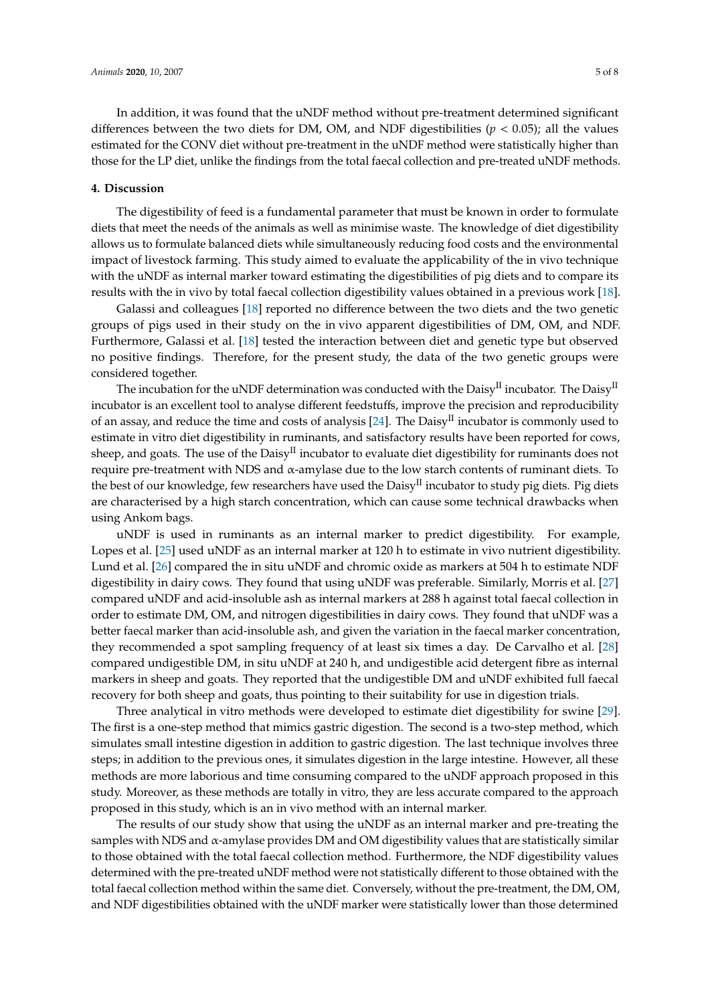In addition, it was found that the uNDF method without pre-treatment determined significant differences between the two diets for DM, OM, and NDF digestibilities (*p* < 0.05); all the values estimated for the CONV diet without pre-treatment in the uNDF method were statistically higher than those for the LP diet, unlike the findings from the total faecal collection and pre-treated uNDF methods.

#### **4. Discussion**

The digestibility of feed is a fundamental parameter that must be known in order to formulate diets that meet the needs of the animals as well as minimise waste. The knowledge of diet digestibility allows us to formulate balanced diets while simultaneously reducing food costs and the environmental impact of livestock farming. This study aimed to evaluate the applicability of the in vivo technique with the uNDF as internal marker toward estimating the digestibilities of pig diets and to compare its results with the in vivo by total faecal collection digestibility values obtained in a previous work [\[18\]](#page-6-12).

Galassi and colleagues [\[18\]](#page-6-12) reported no difference between the two diets and the two genetic groups of pigs used in their study on the in vivo apparent digestibilities of DM, OM, and NDF. Furthermore, Galassi et al. [\[18\]](#page-6-12) tested the interaction between diet and genetic type but observed no positive findings. Therefore, for the present study, the data of the two genetic groups were considered together.

The incubation for the uNDF determination was conducted with the Daisy<sup>II</sup> incubator. The Daisy<sup>II</sup> incubator is an excellent tool to analyse different feedstuffs, improve the precision and reproducibility of an assay, and reduce the time and costs of analysis  $[24]$ . The Daisy<sup>II</sup> incubator is commonly used to estimate in vitro diet digestibility in ruminants, and satisfactory results have been reported for cows, sheep, and goats. The use of the Daisy<sup>II</sup> incubator to evaluate diet digestibility for ruminants does not require pre-treatment with NDS and  $α$ -amylase due to the low starch contents of ruminant diets. To the best of our knowledge, few researchers have used the Daisy<sup>II</sup> incubator to study pig diets. Pig diets are characterised by a high starch concentration, which can cause some technical drawbacks when using Ankom bags.

uNDF is used in ruminants as an internal marker to predict digestibility. For example, Lopes et al. [\[25\]](#page-7-0) used uNDF as an internal marker at 120 h to estimate in vivo nutrient digestibility. Lund et al. [\[26\]](#page-7-1) compared the in situ uNDF and chromic oxide as markers at 504 h to estimate NDF digestibility in dairy cows. They found that using uNDF was preferable. Similarly, Morris et al. [\[27\]](#page-7-2) compared uNDF and acid-insoluble ash as internal markers at 288 h against total faecal collection in order to estimate DM, OM, and nitrogen digestibilities in dairy cows. They found that uNDF was a better faecal marker than acid-insoluble ash, and given the variation in the faecal marker concentration, they recommended a spot sampling frequency of at least six times a day. De Carvalho et al. [\[28\]](#page-7-3) compared undigestible DM, in situ uNDF at 240 h, and undigestible acid detergent fibre as internal markers in sheep and goats. They reported that the undigestible DM and uNDF exhibited full faecal recovery for both sheep and goats, thus pointing to their suitability for use in digestion trials.

Three analytical in vitro methods were developed to estimate diet digestibility for swine [\[29\]](#page-7-4). The first is a one-step method that mimics gastric digestion. The second is a two-step method, which simulates small intestine digestion in addition to gastric digestion. The last technique involves three steps; in addition to the previous ones, it simulates digestion in the large intestine. However, all these methods are more laborious and time consuming compared to the uNDF approach proposed in this study. Moreover, as these methods are totally in vitro, they are less accurate compared to the approach proposed in this study, which is an in vivo method with an internal marker.

The results of our study show that using the uNDF as an internal marker and pre-treating the samples with NDS and  $\alpha$ -amylase provides DM and OM digestibility values that are statistically similar to those obtained with the total faecal collection method. Furthermore, the NDF digestibility values determined with the pre-treated uNDF method were not statistically different to those obtained with the total faecal collection method within the same diet. Conversely, without the pre-treatment, the DM, OM, and NDF digestibilities obtained with the uNDF marker were statistically lower than those determined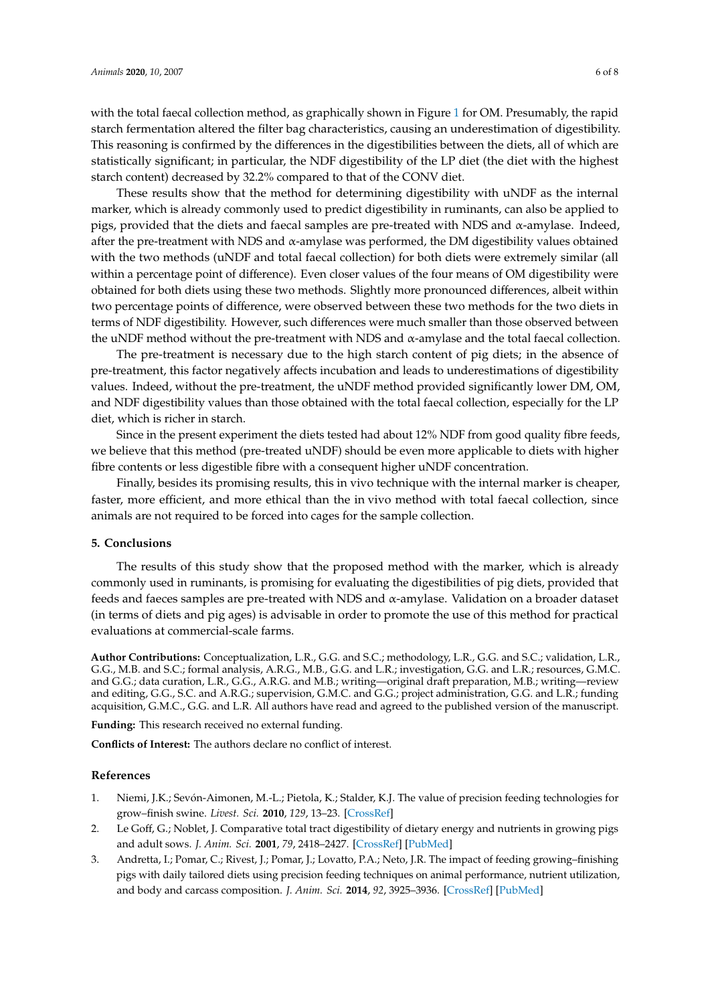with the total faecal collection method, as graphically shown in Figure [1](#page-3-1) for OM. Presumably, the rapid starch fermentation altered the filter bag characteristics, causing an underestimation of digestibility. This reasoning is confirmed by the differences in the digestibilities between the diets, all of which are statistically significant; in particular, the NDF digestibility of the LP diet (the diet with the highest starch content) decreased by 32.2% compared to that of the CONV diet.

These results show that the method for determining digestibility with uNDF as the internal marker, which is already commonly used to predict digestibility in ruminants, can also be applied to pigs, provided that the diets and faecal samples are pre-treated with NDS and α-amylase. Indeed, after the pre-treatment with NDS and  $\alpha$ -amylase was performed, the DM digestibility values obtained with the two methods (uNDF and total faecal collection) for both diets were extremely similar (all within a percentage point of difference). Even closer values of the four means of OM digestibility were obtained for both diets using these two methods. Slightly more pronounced differences, albeit within two percentage points of difference, were observed between these two methods for the two diets in terms of NDF digestibility. However, such differences were much smaller than those observed between the uNDF method without the pre-treatment with NDS and α-amylase and the total faecal collection.

The pre-treatment is necessary due to the high starch content of pig diets; in the absence of pre-treatment, this factor negatively affects incubation and leads to underestimations of digestibility values. Indeed, without the pre-treatment, the uNDF method provided significantly lower DM, OM, and NDF digestibility values than those obtained with the total faecal collection, especially for the LP diet, which is richer in starch.

Since in the present experiment the diets tested had about 12% NDF from good quality fibre feeds, we believe that this method (pre-treated uNDF) should be even more applicable to diets with higher fibre contents or less digestible fibre with a consequent higher uNDF concentration.

Finally, besides its promising results, this in vivo technique with the internal marker is cheaper, faster, more efficient, and more ethical than the in vivo method with total faecal collection, since animals are not required to be forced into cages for the sample collection.

## **5. Conclusions**

The results of this study show that the proposed method with the marker, which is already commonly used in ruminants, is promising for evaluating the digestibilities of pig diets, provided that feeds and faeces samples are pre-treated with NDS and  $\alpha$ -amylase. Validation on a broader dataset (in terms of diets and pig ages) is advisable in order to promote the use of this method for practical evaluations at commercial-scale farms.

**Author Contributions:** Conceptualization, L.R., G.G. and S.C.; methodology, L.R., G.G. and S.C.; validation, L.R., G.G., M.B. and S.C.; formal analysis, A.R.G., M.B., G.G. and L.R.; investigation, G.G. and L.R.; resources, G.M.C. and G.G.; data curation, L.R., G.G., A.R.G. and M.B.; writing—original draft preparation, M.B.; writing—review and editing, G.G., S.C. and A.R.G.; supervision, G.M.C. and G.G.; project administration, G.G. and L.R.; funding acquisition, G.M.C., G.G. and L.R. All authors have read and agreed to the published version of the manuscript.

**Funding:** This research received no external funding.

**Conflicts of Interest:** The authors declare no conflict of interest.

#### **References**

- <span id="page-5-0"></span>1. Niemi, J.K.; Sevón-Aimonen, M.-L.; Pietola, K.; Stalder, K.J. The value of precision feeding technologies for grow–finish swine. *Livest. Sci.* **2010**, *129*, 13–23. [\[CrossRef\]](http://dx.doi.org/10.1016/j.livsci.2009.12.006)
- <span id="page-5-1"></span>2. Le Goff, G.; Noblet, J. Comparative total tract digestibility of dietary energy and nutrients in growing pigs and adult sows. *J. Anim. Sci.* **2001**, *79*, 2418–2427. [\[CrossRef\]](http://dx.doi.org/10.2527/2001.7992418x) [\[PubMed\]](http://www.ncbi.nlm.nih.gov/pubmed/11583429)
- <span id="page-5-2"></span>3. Andretta, I.; Pomar, C.; Rivest, J.; Pomar, J.; Lovatto, P.A.; Neto, J.R. The impact of feeding growing–finishing pigs with daily tailored diets using precision feeding techniques on animal performance, nutrient utilization, and body and carcass composition. *J. Anim. Sci.* **2014**, *92*, 3925–3936. [\[CrossRef\]](http://dx.doi.org/10.2527/jas.2014-7643) [\[PubMed\]](http://www.ncbi.nlm.nih.gov/pubmed/25057024)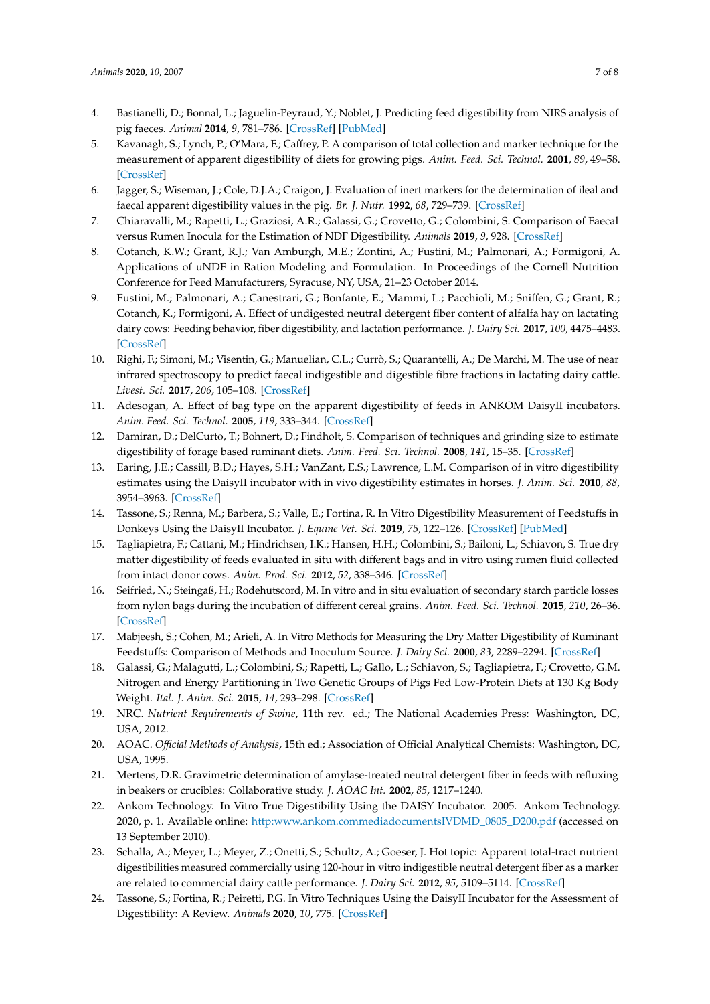- <span id="page-6-0"></span>4. Bastianelli, D.; Bonnal, L.; Jaguelin-Peyraud, Y.; Noblet, J. Predicting feed digestibility from NIRS analysis of pig faeces. *Animal* **2014**, *9*, 781–786. [\[CrossRef\]](http://dx.doi.org/10.1017/S1751731114003097) [\[PubMed\]](http://www.ncbi.nlm.nih.gov/pubmed/25532713)
- <span id="page-6-1"></span>5. Kavanagh, S.; Lynch, P.; O'Mara, F.; Caffrey, P. A comparison of total collection and marker technique for the measurement of apparent digestibility of diets for growing pigs. *Anim. Feed. Sci. Technol.* **2001**, *89*, 49–58. [\[CrossRef\]](http://dx.doi.org/10.1016/S0377-8401(00)00237-6)
- <span id="page-6-2"></span>6. Jagger, S.; Wiseman, J.; Cole, D.J.A.; Craigon, J. Evaluation of inert markers for the determination of ileal and faecal apparent digestibility values in the pig. *Br. J. Nutr.* **1992**, *68*, 729–739. [\[CrossRef\]](http://dx.doi.org/10.1079/BJN19920129)
- <span id="page-6-3"></span>7. Chiaravalli, M.; Rapetti, L.; Graziosi, A.R.; Galassi, G.; Crovetto, G.; Colombini, S. Comparison of Faecal versus Rumen Inocula for the Estimation of NDF Digestibility. *Animals* **2019**, *9*, 928. [\[CrossRef\]](http://dx.doi.org/10.3390/ani9110928)
- 8. Cotanch, K.W.; Grant, R.J.; Van Amburgh, M.E.; Zontini, A.; Fustini, M.; Palmonari, A.; Formigoni, A. Applications of uNDF in Ration Modeling and Formulation. In Proceedings of the Cornell Nutrition Conference for Feed Manufacturers, Syracuse, NY, USA, 21–23 October 2014.
- 9. Fustini, M.; Palmonari, A.; Canestrari, G.; Bonfante, E.; Mammi, L.; Pacchioli, M.; Sniffen, G.; Grant, R.; Cotanch, K.; Formigoni, A. Effect of undigested neutral detergent fiber content of alfalfa hay on lactating dairy cows: Feeding behavior, fiber digestibility, and lactation performance. *J. Dairy Sci.* **2017**, *100*, 4475–4483. [\[CrossRef\]](http://dx.doi.org/10.3168/jds.2016-12266)
- <span id="page-6-4"></span>10. Righi, F.; Simoni, M.; Visentin, G.; Manuelian, C.L.; Currò, S.; Quarantelli, A.; De Marchi, M. The use of near infrared spectroscopy to predict faecal indigestible and digestible fibre fractions in lactating dairy cattle. *Livest. Sci.* **2017**, *206*, 105–108. [\[CrossRef\]](http://dx.doi.org/10.1016/j.livsci.2017.10.006)
- <span id="page-6-5"></span>11. Adesogan, A. Effect of bag type on the apparent digestibility of feeds in ANKOM DaisyII incubators. *Anim. Feed. Sci. Technol.* **2005**, *119*, 333–344. [\[CrossRef\]](http://dx.doi.org/10.1016/j.anifeedsci.2004.09.012)
- <span id="page-6-6"></span>12. Damiran, D.; DelCurto, T.; Bohnert, D.; Findholt, S. Comparison of techniques and grinding size to estimate digestibility of forage based ruminant diets. *Anim. Feed. Sci. Technol.* **2008**, *141*, 15–35. [\[CrossRef\]](http://dx.doi.org/10.1016/j.anifeedsci.2007.04.007)
- <span id="page-6-7"></span>13. Earing, J.E.; Cassill, B.D.; Hayes, S.H.; VanZant, E.S.; Lawrence, L.M. Comparison of in vitro digestibility estimates using the DaisyII incubator with in vivo digestibility estimates in horses. *J. Anim. Sci.* **2010**, *88*, 3954–3963. [\[CrossRef\]](http://dx.doi.org/10.2527/jas.2010-2989)
- <span id="page-6-8"></span>14. Tassone, S.; Renna, M.; Barbera, S.; Valle, E.; Fortina, R. In Vitro Digestibility Measurement of Feedstuffs in Donkeys Using the DaisyII Incubator. *J. Equine Vet. Sci.* **2019**, *75*, 122–126. [\[CrossRef\]](http://dx.doi.org/10.1016/j.jevs.2019.02.002) [\[PubMed\]](http://www.ncbi.nlm.nih.gov/pubmed/31002085)
- <span id="page-6-9"></span>15. Tagliapietra, F.; Cattani, M.; Hindrichsen, I.K.; Hansen, H.H.; Colombini, S.; Bailoni, L.; Schiavon, S. True dry matter digestibility of feeds evaluated in situ with different bags and in vitro using rumen fluid collected from intact donor cows. *Anim. Prod. Sci.* **2012**, *52*, 338–346. [\[CrossRef\]](http://dx.doi.org/10.1071/AN11206)
- <span id="page-6-10"></span>16. Seifried, N.; Steingaß, H.; Rodehutscord, M. In vitro and in situ evaluation of secondary starch particle losses from nylon bags during the incubation of different cereal grains. *Anim. Feed. Sci. Technol.* **2015**, *210*, 26–36. [\[CrossRef\]](http://dx.doi.org/10.1016/j.anifeedsci.2015.09.011)
- <span id="page-6-11"></span>17. Mabjeesh, S.; Cohen, M.; Arieli, A. In Vitro Methods for Measuring the Dry Matter Digestibility of Ruminant Feedstuffs: Comparison of Methods and Inoculum Source. *J. Dairy Sci.* **2000**, *83*, 2289–2294. [\[CrossRef\]](http://dx.doi.org/10.3168/jds.S0022-0302(00)75115-0)
- <span id="page-6-12"></span>18. Galassi, G.; Malagutti, L.; Colombini, S.; Rapetti, L.; Gallo, L.; Schiavon, S.; Tagliapietra, F.; Crovetto, G.M. Nitrogen and Energy Partitioning in Two Genetic Groups of Pigs Fed Low-Protein Diets at 130 Kg Body Weight. *Ital. J. Anim. Sci.* **2015**, *14*, 293–298. [\[CrossRef\]](http://dx.doi.org/10.4081/ijas.2015.4012)
- <span id="page-6-13"></span>19. NRC. *Nutrient Requirements of Swine*, 11th rev. ed.; The National Academies Press: Washington, DC, USA, 2012.
- <span id="page-6-14"></span>20. AOAC. *O*ffi*cial Methods of Analysis*, 15th ed.; Association of Official Analytical Chemists: Washington, DC, USA, 1995.
- <span id="page-6-15"></span>21. Mertens, D.R. Gravimetric determination of amylase-treated neutral detergent fiber in feeds with refluxing in beakers or crucibles: Collaborative study. *J. AOAC Int.* **2002**, *85*, 1217–1240.
- <span id="page-6-16"></span>22. Ankom Technology. In Vitro True Digestibility Using the DAISY Incubator. 2005. Ankom Technology. 2020, p. 1. Available online: [http:www.ankom.commediadocumentsIVDMD\\_0805\\_D200.pdf](http:www.ankom.commediadocumentsIVDMD_0805_D200.pdf) (accessed on 13 September 2010).
- <span id="page-6-17"></span>23. Schalla, A.; Meyer, L.; Meyer, Z.; Onetti, S.; Schultz, A.; Goeser, J. Hot topic: Apparent total-tract nutrient digestibilities measured commercially using 120-hour in vitro indigestible neutral detergent fiber as a marker are related to commercial dairy cattle performance. *J. Dairy Sci.* **2012**, *95*, 5109–5114. [\[CrossRef\]](http://dx.doi.org/10.3168/jds.2012-5650)
- <span id="page-6-18"></span>24. Tassone, S.; Fortina, R.; Peiretti, P.G. In Vitro Techniques Using the DaisyII Incubator for the Assessment of Digestibility: A Review. *Animals* **2020**, *10*, 775. [\[CrossRef\]](http://dx.doi.org/10.3390/ani10050775)